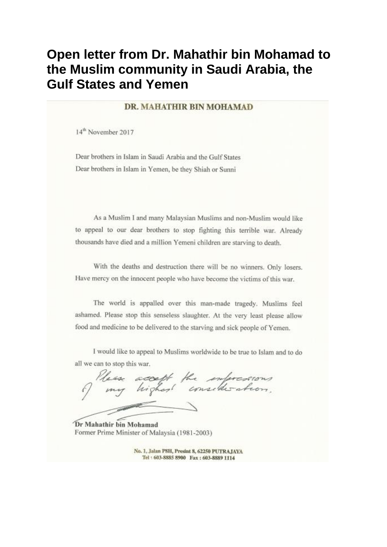## Open letter from Dr. Mahathir bin Mohamad to the Muslim community in Saudi Arabia, the **Gulf States and Yemen**

## DR. MAHATHIR BIN MOHAMAD

14<sup>th</sup> November 2017

Dear brothers in Islam in Saudi Arabia and the Gulf States Dear brothers in Islam in Yemen, be they Shiah or Sunni

As a Muslim I and many Malaysian Muslims and non-Muslim would like to appeal to our dear brothers to stop fighting this terrible war. Already thousands have died and a million Yemeni children are starving to death.

With the deaths and destruction there will be no winners. Only losers, Have mercy on the innocent people who have become the victims of this war.

The world is appalled over this man-made tragedy. Muslims feel ashamed. Please stop this senseless slaughter. At the very least please allow food and medicine to be delivered to the starving and sick people of Yemen.

I would like to appeal to Muslims worldwide to be true to Islam and to do all we can to stop this war.

accept the informations.

Dr Mahathir bin Mohamad Former Prime Minister of Malaysia (1981-2003)

No. 1, Jalan PSH, Presint 8, 62250 PUTRAJAYA Tel: 603-8885 8900 Fax: 603-8889 1114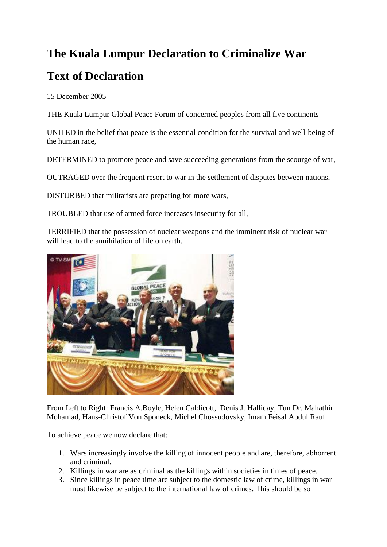## **The Kuala Lumpur Declaration to Criminalize War**

## **Text of Declaration**

15 December 2005

THE Kuala Lumpur Global Peace Forum of concerned peoples from all five continents

UNITED in the belief that peace is the essential condition for the survival and well-being of the human race,

DETERMINED to promote peace and save succeeding generations from the scourge of war,

OUTRAGED over the frequent resort to war in the settlement of disputes between nations,

DISTURBED that militarists are preparing for more wars,

TROUBLED that use of armed force increases insecurity for all,

TERRIFIED that the possession of nuclear weapons and the imminent risk of nuclear war will lead to the annihilation of life on earth.



From Left to Right: Francis A.Boyle, Helen Caldicott, Denis J. Halliday, Tun Dr. Mahathir Mohamad, Hans-Christof Von Sponeck, Michel Chossudovsky, Imam Feisal Abdul Rauf

To achieve peace we now declare that:

- 1. Wars increasingly involve the killing of innocent people and are, therefore, abhorrent and criminal.
- 2. Killings in war are as criminal as the killings within societies in times of peace.
- 3. Since killings in peace time are subject to the domestic law of crime, killings in war must likewise be subject to the international law of crimes. This should be so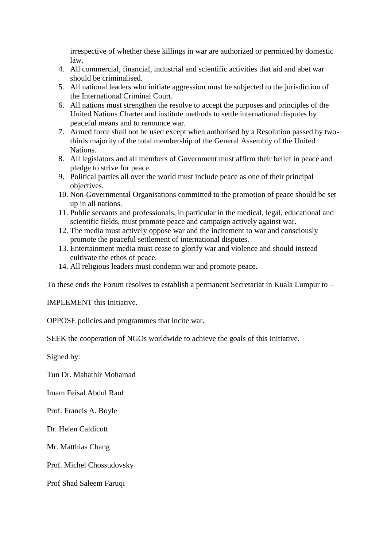irrespective of whether these killings in war are authorized or permitted by domestic law.

- 4. All commercial, financial, industrial and scientific activities that aid and abet war should be criminalised.
- 5. All national leaders who initiate aggression must be subjected to the jurisdiction of the International Criminal Court.
- 6. All nations must strengthen the resolve to accept the purposes and principles of the United Nations Charter and institute methods to settle international disputes by peaceful means and to renounce war.
- 7. Armed force shall not be used except when authorised by a Resolution passed by twothirds majority of the total membership of the General Assembly of the United Nations.
- 8. All legislators and all members of Government must affirm their belief in peace and pledge to strive for peace.
- 9. Political parties all over the world must include peace as one of their principal objectives.
- 10. Non-Governmental Organisations committed to the promotion of peace should be set up in all nations.
- 11. Public servants and professionals, in particular in the medical, legal, educational and scientific fields, must promote peace and campaign actively against war.
- 12. The media must actively oppose war and the incitement to war and consciously promote the peaceful settlement of international disputes.
- 13. Entertainment media must cease to glorify war and violence and should instead cultivate the ethos of peace.
- 14. All religious leaders must condemn war and promote peace.

To these ends the Forum resolves to establish a permanent Secretariat in Kuala Lumpur to –

IMPLEMENT this Initiative.

OPPOSE policies and programmes that incite war.

SEEK the cooperation of NGOs worldwide to achieve the goals of this Initiative.

Signed by:

Tun Dr. Mahathir Mohamad

Imam Feisal Abdul Rauf

Prof. Francis A. Boyle

Dr. Helen Caldicott

Mr. Matthias Chang

Prof. Michel Chossudovsky

Prof Shad Saleem Faruqi